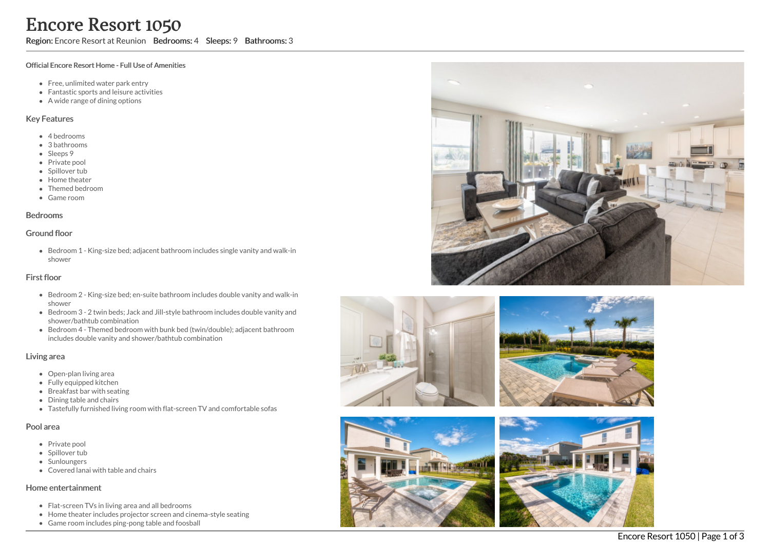# **Encore Resort 1050**<br>
Region: Encore Resort at Reunion Bedrooms: 4<br>
Toricial Encore Resort Home - Full Use of Amenities<br>
• Fenc, unlimited water park entry they<br>
Fantastic sports and leisure activities<br>
• A bedrooms<br>
• Sub

Sleeps: 9 Bathrooms: 3

### Official Encore Resort Home - Full Use of Amenities

- Free, unlimited water park entry
- Fantastic sports and leisure activities
- A wide range of dining options

### Key Features

- 4 b e d r o o m s
- 3 b a t h r o o m s
- Sleeps 9
- Private pool
- Spillover tub
- Home theate r
- Themed bedroom
- G a m e r o o m

### **Bedrooms**

### Ground floor

Bedroom 1 - King-size bed; adjacent bathroom includes single vanity and walk-in s h o w e r

### First floor

- Bedroom 2 King-size bed; en-suite bathroom includes double vanity and walk-in s h o w e r
- Bedroom 3 2 twin beds; Jack and Jill-style bathroom includes double vanity and shower/bathtub combination
- Bedroom 4 Themed bedroom with bunk bed (twin/double); adjacent bathroom includes double vanity and shower/bathtub combination

### Living area

- Open-plan living area
- Fully equipped kitchen
- Breakfast bar with seating
- Dining table and chairs
- Tastefully furnished living room with flat-screen TV and comfortable sofas

### Pool area

- Private pool
- Spillover tub
- Sunloungers
- Covered lanai with table and chairs

### Home entertainment

- Flat-screen TVs in living area and all bedrooms
- Home theater includes projector screen and cinema-style seating
- Game room includes ping-pong table and foosba









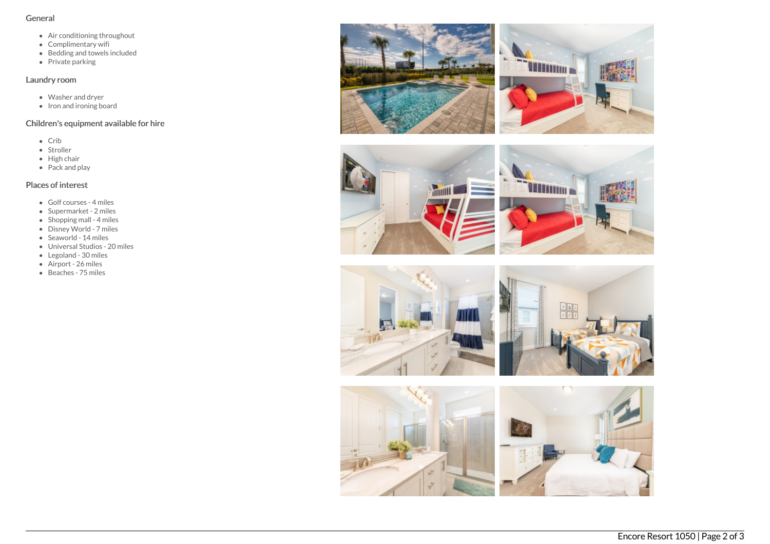## General

- Air conditioning throughout
- Complimentary wifi
- Bedding and towels included
- Private parking

# Laundry room

- Washer and dryer
- Iron and ironing board

# Children's equipment available for hire

- Crib
- Stroller
- $\bullet$  High chair
- Pack and play

# Places of interest

- Golf courses 4 miles
- Supermarket 2 miles
- $\bullet$  Shopping mall 4 miles
- Disney World 7 miles
- Seaworld 14 miles
- Universal Studios 20 miles
- Legoland 30 miles
- Airport 26 miles
- Beaches 75 miles